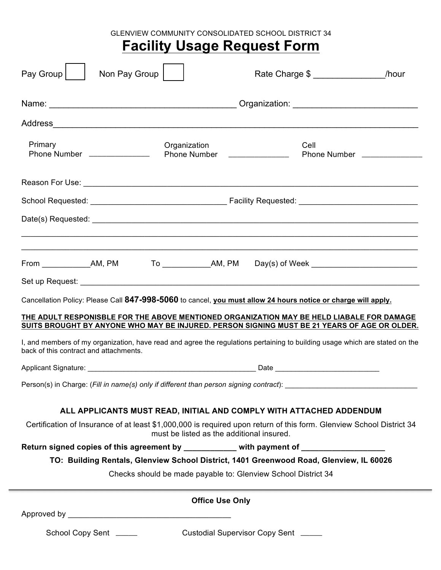GLENVIEW COMMUNITY CONSOLIDATED SCHOOL DISTRICT 34

# **Facility Usage Request Form**

| Pay Group                                                                                                                                                                                 | Non Pay Group                                                                                                                                                                                                                 | Rate Charge \$ | /hour |
|-------------------------------------------------------------------------------------------------------------------------------------------------------------------------------------------|-------------------------------------------------------------------------------------------------------------------------------------------------------------------------------------------------------------------------------|----------------|-------|
|                                                                                                                                                                                           | Name: Name: Name: Name: Name: Name: Name: Name: Name: Name: Name: Name: Name: Name: Name: Name: Name: Name: Name: Name: Name: Name: Name: Name: Name: Name: Name: Name: Name: Name: Name: Name: Name: Name: Name: Name: Name: |                |       |
|                                                                                                                                                                                           |                                                                                                                                                                                                                               |                |       |
| Primary                                                                                                                                                                                   | Organization<br>Phone Number _______________                                                                                                                                                                                  | Cell           |       |
|                                                                                                                                                                                           |                                                                                                                                                                                                                               |                |       |
|                                                                                                                                                                                           |                                                                                                                                                                                                                               |                |       |
|                                                                                                                                                                                           |                                                                                                                                                                                                                               |                |       |
|                                                                                                                                                                                           |                                                                                                                                                                                                                               |                |       |
|                                                                                                                                                                                           |                                                                                                                                                                                                                               |                |       |
|                                                                                                                                                                                           |                                                                                                                                                                                                                               |                |       |
| Cancellation Policy: Please Call 847-998-5060 to cancel, you must allow 24 hours notice or charge will apply.                                                                             |                                                                                                                                                                                                                               |                |       |
| THE ADULT RESPONISBLE FOR THE ABOVE MENTIONED ORGANIZATION MAY BE HELD LIABALE FOR DAMAGE<br>SUITS BROUGHT BY ANYONE WHO MAY BE INJURED. PERSON SIGNING MUST BE 21 YEARS OF AGE OR OLDER. |                                                                                                                                                                                                                               |                |       |
| I, and members of my organization, have read and agree the regulations pertaining to building usage which are stated on the<br>back of this contract and attachments.                     |                                                                                                                                                                                                                               |                |       |
|                                                                                                                                                                                           |                                                                                                                                                                                                                               |                |       |
| Person(s) in Charge: (Fill in name(s) only if different than person signing contract):                                                                                                    |                                                                                                                                                                                                                               |                |       |
| ALL APPLICANTS MUST READ, INITIAL AND COMPLY WITH ATTACHED ADDENDUM                                                                                                                       |                                                                                                                                                                                                                               |                |       |
| Certification of Insurance of at least \$1,000,000 is required upon return of this form. Glenview School District 34                                                                      |                                                                                                                                                                                                                               |                |       |
| must be listed as the additional insured.                                                                                                                                                 |                                                                                                                                                                                                                               |                |       |
| Return signed copies of this agreement by ___________ with payment of ________________                                                                                                    |                                                                                                                                                                                                                               |                |       |
| TO: Building Rentals, Glenview School District, 1401 Greenwood Road, Glenview, IL 60026<br>Checks should be made payable to: Glenview School District 34                                  |                                                                                                                                                                                                                               |                |       |
|                                                                                                                                                                                           |                                                                                                                                                                                                                               |                |       |
| <b>Office Use Only</b>                                                                                                                                                                    |                                                                                                                                                                                                                               |                |       |
|                                                                                                                                                                                           |                                                                                                                                                                                                                               |                |       |
| Custodial Supervisor Copy Sent _____<br>School Copy Sent ______                                                                                                                           |                                                                                                                                                                                                                               |                |       |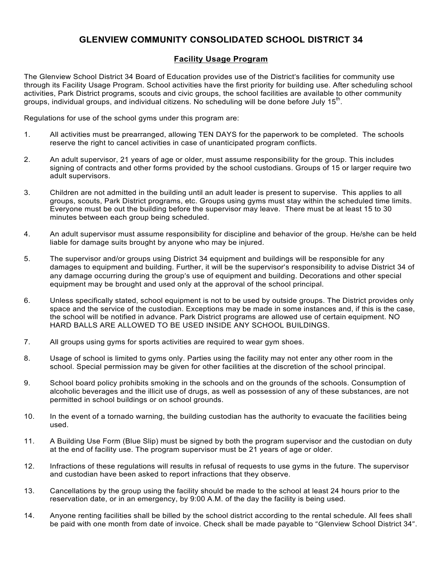## **GLENVIEW COMMUNITY CONSOLIDATED SCHOOL DISTRICT 34**

### **Facility Usage Program**

The Glenview School District 34 Board of Education provides use of the District's facilities for community use through its Facility Usage Program. School activities have the first priority for building use. After scheduling school activities, Park District programs, scouts and civic groups, the school facilities are available to other community groups, individual groups, and individual citizens. No scheduling will be done before July  $15<sup>th</sup>$ .

Regulations for use of the school gyms under this program are:

- 1. All activities must be prearranged, allowing TEN DAYS for the paperwork to be completed. The schools reserve the right to cancel activities in case of unanticipated program conflicts.
- 2. An adult supervisor, 21 years of age or older, must assume responsibility for the group. This includes signing of contracts and other forms provided by the school custodians. Groups of 15 or larger require two adult supervisors.
- 3. Children are not admitted in the building until an adult leader is present to supervise. This applies to all groups, scouts, Park District programs, etc. Groups using gyms must stay within the scheduled time limits. Everyone must be out the building before the supervisor may leave. There must be at least 15 to 30 minutes between each group being scheduled.
- 4. An adult supervisor must assume responsibility for discipline and behavior of the group. He/she can be held liable for damage suits brought by anyone who may be injured.
- 5. The supervisor and/or groups using District 34 equipment and buildings will be responsible for any damages to equipment and building. Further, it will be the supervisor's responsibility to advise District 34 of any damage occurring during the group's use of equipment and building. Decorations and other special equipment may be brought and used only at the approval of the school principal.
- 6. Unless specifically stated, school equipment is not to be used by outside groups. The District provides only space and the service of the custodian. Exceptions may be made in some instances and, if this is the case, the school will be notified in advance. Park District programs are allowed use of certain equipment. NO HARD BALLS ARE ALLOWED TO BE USED INSIDE ANY SCHOOL BUILDINGS.
- 7. All groups using gyms for sports activities are required to wear gym shoes.
- 8. Usage of school is limited to gyms only. Parties using the facility may not enter any other room in the school. Special permission may be given for other facilities at the discretion of the school principal.
- 9. School board policy prohibits smoking in the schools and on the grounds of the schools. Consumption of alcoholic beverages and the illicit use of drugs, as well as possession of any of these substances, are not permitted in school buildings or on school grounds.
- 10. In the event of a tornado warning, the building custodian has the authority to evacuate the facilities being used.
- 11. A Building Use Form (Blue Slip) must be signed by both the program supervisor and the custodian on duty at the end of facility use. The program supervisor must be 21 years of age or older.
- 12. Infractions of these regulations will results in refusal of requests to use gyms in the future. The supervisor and custodian have been asked to report infractions that they observe.
- 13. Cancellations by the group using the facility should be made to the school at least 24 hours prior to the reservation date, or in an emergency, by 9:00 A.M. of the day the facility is being used.
- 14. Anyone renting facilities shall be billed by the school district according to the rental schedule. All fees shall be paid with one month from date of invoice. Check shall be made payable to "Glenview School District 34".